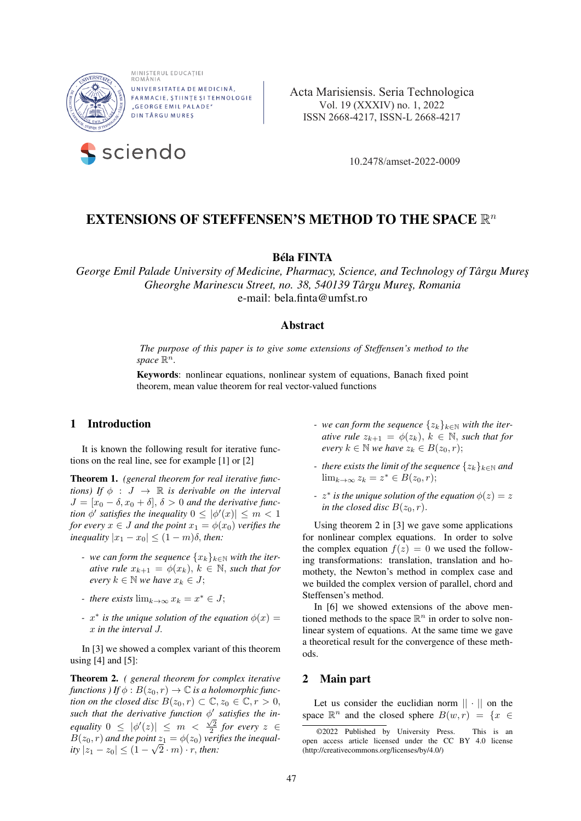

MINISTERUL EDUCAȚIEI<br>ROMÂNIA UNIVERSITATEA DE MEDICINĂ, FARMACIE, STIINTE SI TEHNOLOGIE "GEORGE EMIL PALADE" **DINTÂRGU MURES** 



 **a**  Acta Marisiensis. Seria Technologica Vol. 19 (XXXIV) no. 1, 2022 ISSN 2668-4217, ISSN-L 2668-4217

# EXTENSIONS OF STEFFENSEN'S METHOD TO THE SPACE  $\mathbb{R}^n$

# Béla FINTA

*George Emil Palade University of Medicine, Pharmacy, Science, and Technology of Târgu Mure¸s Gheorghe Marinescu Street, no. 38, 540139 Târgu Mure¸s, Romania* e-mail: bela.finta@umfst.ro

# Abstract

*The purpose of this paper is to give some extensions of Steffensen's method to the*  $space \mathbb{R}^n$ .

Keywords: nonlinear equations, nonlinear system of equations, Banach fixed point theorem, mean value theorem for real vector-valued functions

# 1 Introduction

It is known the following result for iterative functions on the real line, see for example [1] or [2]

Theorem 1. *(general theorem for real iterative functions)* If  $\phi : J \rightarrow \mathbb{R}$  *is derivable on the interval*  $J = [x_0 - \delta, x_0 + \delta], \delta > 0$  *and the derivative function*  $\phi'$  *satisfies the inequality*  $0 \leq |\phi'(x)| \leq m < 1$ *for every*  $x \in J$  *and the point*  $x_1 = \phi(x_0)$  *verifies the inequality*  $|x_1 - x_0| \leq (1 - m)\delta$ *, then:* 

- *-* we can form the sequence  $\{x_k\}_{k\in\mathbb{N}}$  with the iter*ative rule*  $x_{k+1} = \phi(x_k)$ ,  $k \in \mathbb{N}$ , *such that for every*  $k \in \mathbb{N}$  *we have*  $x_k \in J$ ;
- *there exists*  $\lim_{k\to\infty} x_k = x^* \in J;$
- *-*  $x^*$  *is the unique solution of the equation*  $\phi(x)$  = x *in the interval* J.

In [3] we showed a complex variant of this theorem using  $[4]$  and  $[5]$ :

Theorem 2. *( general theorem for complex iterative functions* ) If  $\phi$  :  $B(z_0, r) \to \mathbb{C}$  *is a holomorphic function on the closed disc*  $B(z_0, r) \subset \mathbb{C}, z_0 \in \mathbb{C}, r > 0$ , such that the derivative function  $\phi'$  satisfies the in*equality*  $0 \leq |\phi'(z)| \leq m < \frac{\sqrt{2}}{2}$  *for every*  $z \in$  $B(z_0, r)$  and the point  $z_1 = \phi(z_0)$  verifies the inequal $ity |z_1 - z_0| \le (1 - \sqrt{2 \cdot m}) \cdot r$ , *then:* 

- *-* we can form the sequence  $\{z_k\}_{k\in\mathbb{N}}$  with the iter*ative rule*  $z_{k+1} = \phi(z_k)$ ,  $k \in \mathbb{N}$ , *such that for every*  $k \in \mathbb{N}$  *we have*  $z_k \in B(z_0, r)$ ;
- *there exists the limit of the sequence*  $\{z_k\}_{k\in\mathbb{N}}$  *and*  $\lim_{k\to\infty} z_k = z^* \in B(z_0, r);$
- *-*  $z^*$  *is the unique solution of the equation*  $\phi(z) = z$ *in the closed disc*  $B(z_0, r)$ *.*

Using theorem 2 in [3] we gave some applications for nonlinear complex equations. In order to solve the complex equation  $f(z) = 0$  we used the following transformations: translation, translation and homothety, the Newton's method in complex case and we builded the complex version of parallel, chord and Steffensen's method.

In [6] we showed extensions of the above mentioned methods to the space  $\mathbb{R}^n$  in order to solve nonlinear system of equations. At the same time we gave a theoretical result for the convergence of these methods.

# 2 Main part

Let us consider the euclidian norm  $|| \cdot ||$  on the space  $\mathbb{R}^n$  and the closed sphere  $B(w, r) = \{x \in$ 

<sup>©2022</sup> Published by University Press. This is an open access article licensed under the CC BY 4.0 license (http://creativecommons.org/licenses/by/4.0/)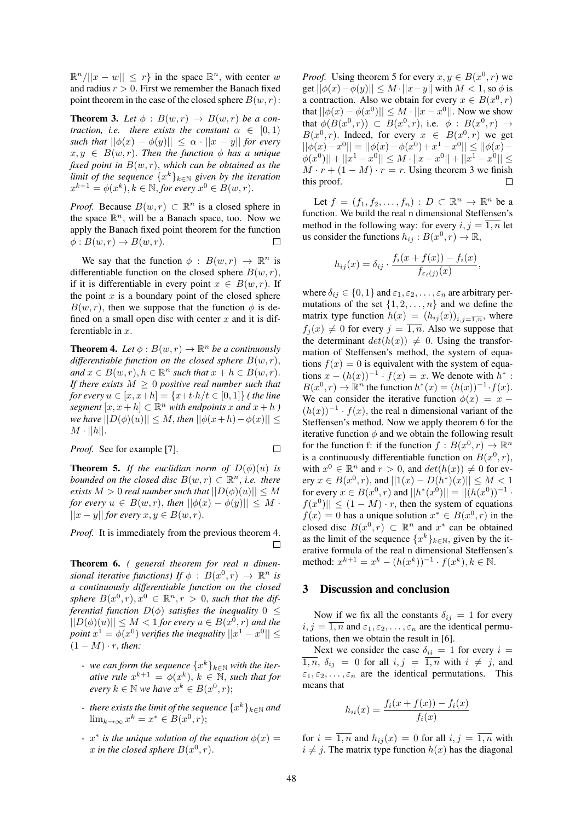$\mathbb{R}^n/||x-w|| \leq r$  in the space  $\mathbb{R}^n$ , with center w and radius  $r > 0$ . First we remember the Banach fixed point theorem in the case of the closed sphere  $B(w, r)$ :

**Theorem 3.** Let  $\phi$ :  $B(w,r) \rightarrow B(w,r)$  be a con*traction, i.e. there exists the constant*  $\alpha \in [0,1)$ *such that*  $||\phi(x) - \phi(y)|| \leq \alpha \cdot ||x - y||$  *for every*  $x, y \in B(w, r)$ . *Then the function*  $\phi$  *has a unique fixed point in* B(w, r), *which can be obtained as the limit of the sequence*  $\{x^k\}_{k\in\mathbb{N}}$  given by the iteration  $x^{k+1} = \phi(x^k), k \in \mathbb{N}$ , for every  $x^0 \in B(w, r)$ .

*Proof.* Because  $B(w, r) \subset \mathbb{R}^n$  is a closed sphere in the space  $\mathbb{R}^n$ , will be a Banach space, too. Now we apply the Banach fixed point theorem for the function  $\phi: B(w,r) \to B(w,r).$  $\Box$ 

We say that the function  $\phi : B(w,r) \to \mathbb{R}^n$  is differentiable function on the closed sphere  $B(w, r)$ , if it is differentiable in every point  $x \in B(w, r)$ . If the point  $x$  is a boundary point of the closed sphere  $B(w, r)$ , then we suppose that the function  $\phi$  is defined on a small open disc with center  $x$  and it is differentiable in  $x$ .

**Theorem 4.** Let  $\phi$  :  $B(w, r) \rightarrow \mathbb{R}^n$  be a continuously *differentiable function on the closed sphere*  $B(w, r)$ ,  $and x \in B(w,r), h \in \mathbb{R}^n$  *such that*  $x + h \in B(w,r)$ . *If there exists*  $M \geq 0$  *positive real number such that for every*  $u \in [x, x+h] = \{x+t \cdot h/t \in [0,1]\}$  *(the line segment*  $[x, x+h] \subset \mathbb{R}^n$  *with endpoints* x *and*  $x+h$  *) we have*  $||D(\phi)(u)|| \leq M$ , *then*  $||\phi(x+h) - \phi(x)|| \leq$  $M \cdot ||h||.$ 

*Proof.* See for example [7].

**Theorem 5.** *If the euclidian norm of*  $D(\phi)(u)$  *is bounded on the closed disc*  $B(w,r) \subset \mathbb{R}^n$ , *i.e. there exists*  $M > 0$  *real number such that*  $||D(\phi)(u)|| \leq M$ *for every*  $u \in B(w,r)$ , *then*  $||\phi(x) - \phi(y)|| \leq M$ .  $||x - y||$  *for every*  $x, y \in B(w, r)$ .

*Proof.* It is immediately from the previous theorem 4.  $\Box$ 

Theorem 6. *( general theorem for real n dimensional iterative functions)* If  $\phi$  :  $B(x^0, r) \rightarrow \mathbb{R}^n$  *is a continuously differentiable function on the closed sphere*  $B(x^0, r), x^0 \in \mathbb{R}^n, r > 0$ , *such that the differential function*  $D(\phi)$  *satisfies the inequality* 0  $\leq$  $||D(\phi)(u)|| \leq M < 1$  *for every*  $u \in B(x^0, r)$  *and the point*  $x^1 = \phi(x^0)$  *verifies the inequality*  $||x^1 - x^0|| \le$  $(1 - M) \cdot r$ , *then:* 

- $-$  we can form the sequence  $\{x^k\}_{k\in\mathbb{N}}$  with the iter*ative rule*  $x^{k+1} = \phi(x^k)$ ,  $k \in \mathbb{N}$ , *such that for*  $\text{every } k \in \mathbb{N} \text{ we have } x^k \in B(x^0, r);$
- $-$  *there exists the limit of the sequence*  $\{x^{k}\}_{k\in\mathbb{N}}$  *and*  $\lim_{k \to \infty} x^k = x^* \in B(x^0, r);$
- *a i* is the unique solution of the equation  $\phi(x) =$ x in the closed sphere  $B(x^0, r)$ .

*Proof.* Using theorem 5 for every  $x, y \in B(x^0, r)$  we get  $||\phi(x)-\phi(y)|| \leq M \cdot ||x-y||$  with  $M < 1$ , so  $\phi$  is a contraction. Also we obtain for every  $x \in B(x^0, r)$ that  $||\phi(x) - \phi(x^0)|| \le M \cdot ||x - x^0||$ . Now we show that  $\phi(B(x^0, r)) \subset B(x^0, r)$ , i.e.  $\phi : B(x^0, r) \rightarrow$  $B(x^0, r)$ . Indeed, for every  $x \in B(x^0, r)$  we get  $||\phi(x)-x^0|| = ||\phi(x)-\phi(x^0)+x^1-x^0|| \le ||\phi(x) |\phi(x^0)|| + ||x^1 - x^0|| \leq M \cdot ||x - x^0|| + ||x^1 - x^0|| \leq$  $M \cdot r + (1 - M) \cdot r = r$ . Using theorem 3 we finish this proof.  $\Box$ 

Let  $f = (f_1, f_2, \ldots, f_n) : D \subset \mathbb{R}^n \to \mathbb{R}^n$  be a function. We build the real n dimensional Steffensen's method in the following way: for every  $i, j = \overline{1, n}$  let us consider the functions  $h_{ij}: B(x^0, r) \to \mathbb{R}$ ,

$$
h_{ij}(x) = \delta_{ij} \cdot \frac{f_i(x + f(x)) - f_i(x)}{f_{\varepsilon_i}(j)}.
$$

,

where  $\delta_{ij} \in \{0, 1\}$  and  $\varepsilon_1, \varepsilon_2, \dots, \varepsilon_n$  are arbitrary permutations of the set  $\{1, 2, \ldots, n\}$  and we define the matrix type function  $h(x) = (h_{ij}(x))_{i,j=\overline{1,n}}$ , where  $f_i(x) \neq 0$  for every  $j = \overline{1, n}$ . Also we suppose that the determinant  $det(h(x)) \neq 0$ . Using the transformation of Steffensen's method, the system of equations  $f(x) = 0$  is equivalent with the system of equations  $x - (h(x))^{-1} \cdot f(x) = x$ . We denote with  $h^*$ :  $B(x^0, r) \to \mathbb{R}^n$  the function  $h^*(x) = (h(x))^{-1} \cdot f(x)$ . We can consider the iterative function  $\phi(x) = x (h(x))^{-1} \cdot f(x)$ , the real n dimensional variant of the Steffensen's method. Now we apply theorem 6 for the iterative function  $\phi$  and we obtain the following result for the function f: if the function  $f : B(x^0, r) \to \mathbb{R}^n$ is a continuously differentiable function on  $B(x^0, r)$ , with  $x^0 \in \mathbb{R}^n$  and  $r > 0$ , and  $det(h(x)) \neq 0$  for every  $x \in B(x^0, r)$ , and  $||1(x) - D(h^*)(x)|| \le M < 1$ for every  $x \in B(x^0, r)$  and  $||h^*(x^0)|| = ||(h(x^0))^{-1}$ .  $|f(x^0)|| \leq (1 - M) \cdot r$ , then the system of equations  $f(x) = 0$  has a unique solution  $x^* \in B(x^0, r)$  in the closed disc  $B(x^0, r) \subset \mathbb{R}^n$  and  $x^*$  can be obtained as the limit of the sequence  $\{x^k\}_{k\in\mathbb{N}}$ , given by the iterative formula of the real n dimensional Steffensen's method:  $x^{k+1} = x^k - (h(x^k))^{-1} \cdot f(x^k), k \in \mathbb{N}$ .

### 3 Discussion and conclusion

Now if we fix all the constants  $\delta_{ij} = 1$  for every  $i, j = \overline{1, n}$  and  $\varepsilon_1, \varepsilon_2, \dots, \varepsilon_n$  are the identical permutations, then we obtain the result in [6].

Next we consider the case  $\delta_{ii} = 1$  for every  $i =$  $\overline{1,n}$ ,  $\delta_{ij} = 0$  for all  $i, j = \overline{1,n}$  with  $i \neq j$ , and  $\varepsilon_1, \varepsilon_2, \ldots, \varepsilon_n$  are the identical permutations. This means that

$$
h_{ii}(x) = \frac{f_i(x + f(x)) - f_i(x)}{f_i(x)}
$$

for  $i = \overline{1,n}$  and  $h_{ij}(x) = 0$  for all  $i, j = \overline{1,n}$  with  $i \neq j$ . The matrix type function  $h(x)$  has the diagonal

 $\Box$